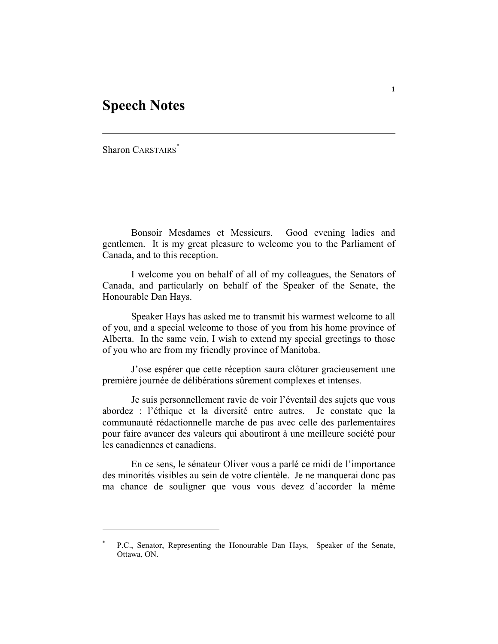## **Speech Notes**

Sharon CARSTAIRS<sup>\*</sup>

Bonsoir Mesdames et Messieurs. Good evening ladies and gentlemen. It is my great pleasure to welcome you to the Parliament of Canada, and to this reception.

 I welcome you on behalf of all of my colleagues, the Senators of Canada, and particularly on behalf of the Speaker of the Senate, the Honourable Dan Hays.

 Speaker Hays has asked me to transmit his warmest welcome to all of you, and a special welcome to those of you from his home province of Alberta. In the same vein, I wish to extend my special greetings to those of you who are from my friendly province of Manitoba.

 J'ose espérer que cette réception saura clôturer gracieusement une première journée de délibérations sûrement complexes et intenses.

 Je suis personnellement ravie de voir l'éventail des sujets que vous abordez : l'éthique et la diversité entre autres. Je constate que la communauté rédactionnelle marche de pas avec celle des parlementaires pour faire avancer des valeurs qui aboutiront à une meilleure société pour les canadiennes et canadiens.

 En ce sens, le sénateur Oliver vous a parlé ce midi de l'importance des minorités visibles au sein de votre clientèle. Je ne manquerai donc pas ma chance de souligner que vous vous devez d'accorder la même

<sup>\*</sup> P.C., Senator, Representing the Honourable Dan Hays, Speaker of the Senate, Ottawa, ON.